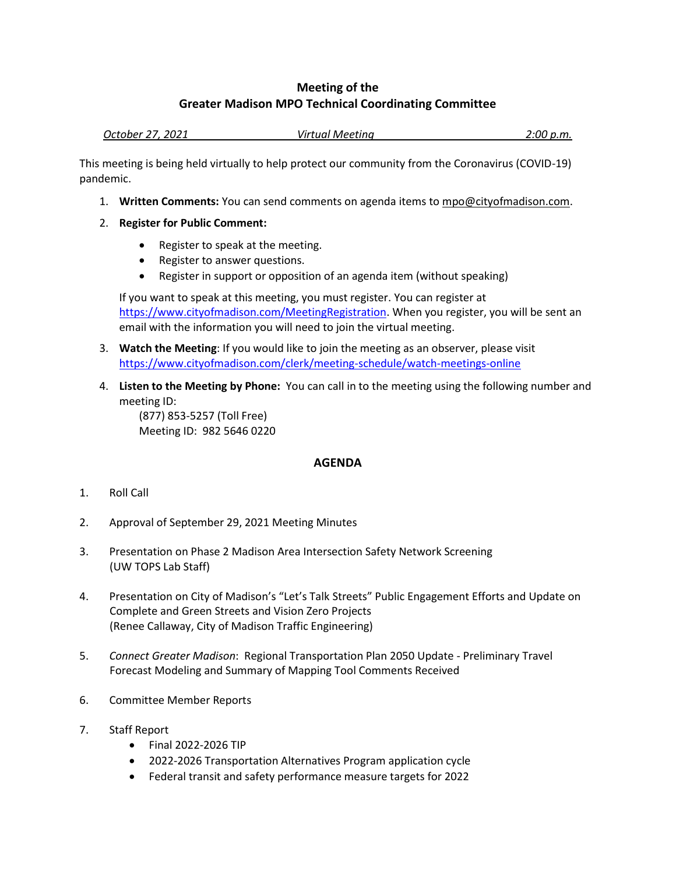## **Meeting of the Greater Madison MPO Technical Coordinating Committee**

*October 27, 2021 Virtual Meeting 2:00 p.m.*

This meeting is being held virtually to help protect our community from the Coronavirus (COVID-19) pandemic.

- 1. **Written Comments:** You can send comments on agenda items to mpo@cityofmadison.com.
- 2. **Register for Public Comment:**
	- Register to speak at the meeting.
	- Register to answer questions.
	- Register in support or opposition of an agenda item (without speaking)

If you want to speak at this meeting, you must register. You can register at [https://www.cityofmadison.com/MeetingRegistration.](https://www.cityofmadison.com/MeetingRegistration) When you register, you will be sent an email with the information you will need to join the virtual meeting.

- 3. **Watch the Meeting**: If you would like to join the meeting as an observer, please visit <https://www.cityofmadison.com/clerk/meeting-schedule/watch-meetings-online>
- 4. **Listen to the Meeting by Phone:** You can call in to the meeting using the following number and meeting ID:

(877) 853-5257 (Toll Free) Meeting ID: 982 5646 0220

## **AGENDA**

- 1. Roll Call
- 2. Approval of September 29, 2021 Meeting Minutes
- 3. Presentation on Phase 2 Madison Area Intersection Safety Network Screening (UW TOPS Lab Staff)
- 4. Presentation on City of Madison's "Let's Talk Streets" Public Engagement Efforts and Update on Complete and Green Streets and Vision Zero Projects (Renee Callaway, City of Madison Traffic Engineering)
- 5. *Connect Greater Madison*: Regional Transportation Plan 2050 Update Preliminary Travel Forecast Modeling and Summary of Mapping Tool Comments Received
- 6. Committee Member Reports
- 7. Staff Report
	- Final 2022-2026 TIP
	- 2022-2026 Transportation Alternatives Program application cycle
	- Federal transit and safety performance measure targets for 2022